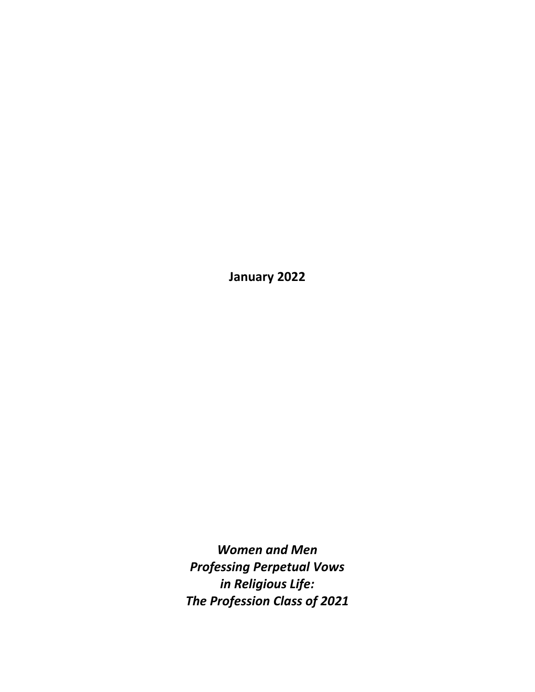**January 2022**

*Women and Men Professing Perpetual Vows in Religious Life: The Profession Class of 2021*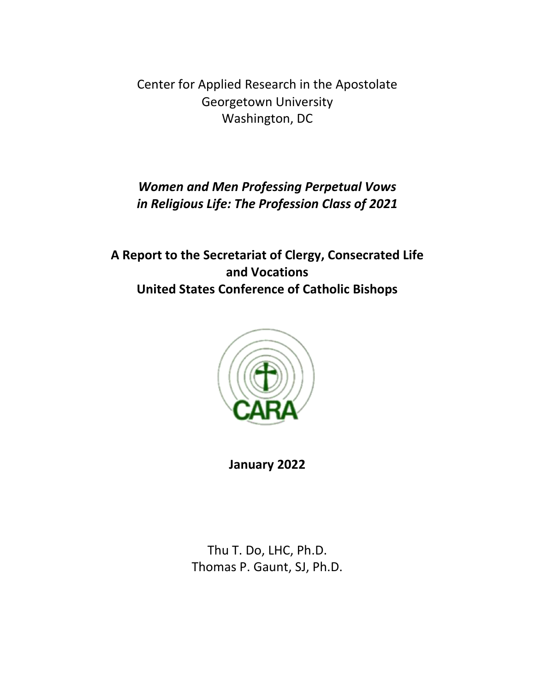Center for Applied Research in the Apostolate Georgetown University Washington, DC

# *Women and Men Professing Perpetual Vows in Religious Life: The Profession Class of 2021*

**A Report to the Secretariat of Clergy, Consecrated Life and Vocations United States Conference of Catholic Bishops**



**January 2022**

Thu T. Do, LHC, Ph.D. Thomas P. Gaunt, SJ, Ph.D.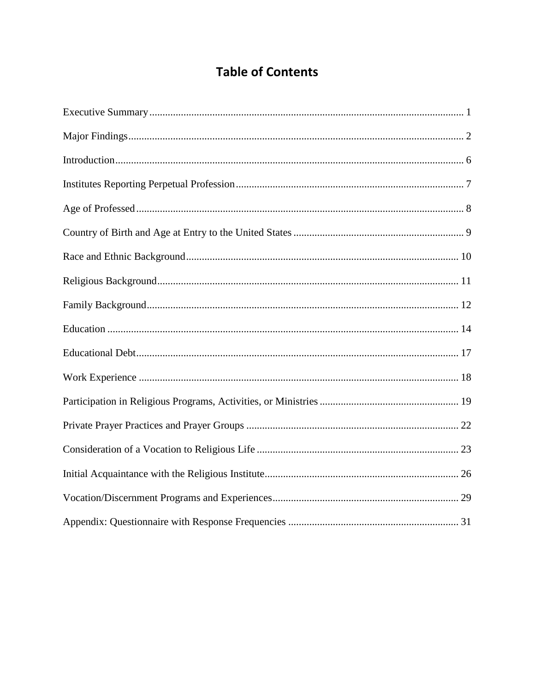# **Table of Contents**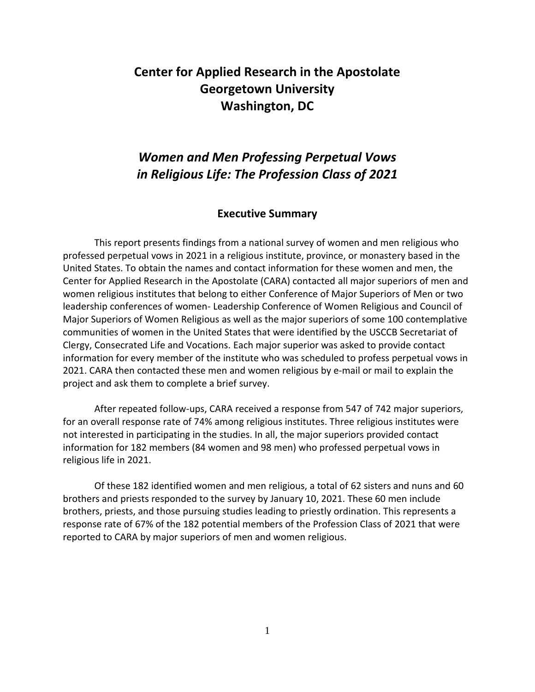# **Center for Applied Research in the Apostolate Georgetown University Washington, DC**

# *Women and Men Professing Perpetual Vows in Religious Life: The Profession Class of 2021*

#### **Executive Summary**

<span id="page-4-0"></span>This report presents findings from a national survey of women and men religious who professed perpetual vows in 2021 in a religious institute, province, or monastery based in the United States. To obtain the names and contact information for these women and men, the Center for Applied Research in the Apostolate (CARA) contacted all major superiors of men and women religious institutes that belong to either Conference of Major Superiors of Men or two leadership conferences of women- Leadership Conference of Women Religious and Council of Major Superiors of Women Religious as well as the major superiors of some 100 contemplative communities of women in the United States that were identified by the USCCB Secretariat of Clergy, Consecrated Life and Vocations. Each major superior was asked to provide contact information for every member of the institute who was scheduled to profess perpetual vows in 2021. CARA then contacted these men and women religious by e-mail or mail to explain the project and ask them to complete a brief survey.

After repeated follow-ups, CARA received a response from 547 of 742 major superiors, for an overall response rate of 74% among religious institutes. Three religious institutes were not interested in participating in the studies. In all, the major superiors provided contact information for 182 members (84 women and 98 men) who professed perpetual vows in religious life in 2021.

Of these 182 identified women and men religious, a total of 62 sisters and nuns and 60 brothers and priests responded to the survey by January 10, 2021. These 60 men include brothers, priests, and those pursuing studies leading to priestly ordination. This represents a response rate of 67% of the 182 potential members of the Profession Class of 2021 that were reported to CARA by major superiors of men and women religious.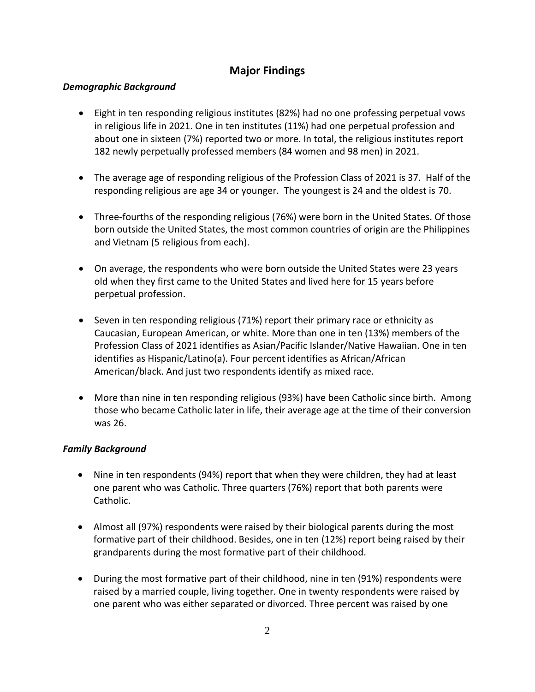### **Major Findings**

#### <span id="page-5-0"></span>*Demographic Background*

- Eight in ten responding religious institutes (82%) had no one professing perpetual vows in religious life in 2021. One in ten institutes (11%) had one perpetual profession and about one in sixteen (7%) reported two or more. In total, the religious institutes report 182 newly perpetually professed members (84 women and 98 men) in 2021.
- The average age of responding religious of the Profession Class of 2021 is 37. Half of the responding religious are age 34 or younger. The youngest is 24 and the oldest is 70.
- Three-fourths of the responding religious (76%) were born in the United States. Of those born outside the United States, the most common countries of origin are the Philippines and Vietnam (5 religious from each).
- On average, the respondents who were born outside the United States were 23 years old when they first came to the United States and lived here for 15 years before perpetual profession.
- Seven in ten responding religious (71%) report their primary race or ethnicity as Caucasian, European American, or white. More than one in ten (13%) members of the Profession Class of 2021 identifies as Asian/Pacific Islander/Native Hawaiian. One in ten identifies as Hispanic/Latino(a). Four percent identifies as African/African American/black. And just two respondents identify as mixed race.
- More than nine in ten responding religious (93%) have been Catholic since birth. Among those who became Catholic later in life, their average age at the time of their conversion was 26.

#### *Family Background*

- Nine in ten respondents (94%) report that when they were children, they had at least one parent who was Catholic. Three quarters (76%) report that both parents were Catholic.
- Almost all (97%) respondents were raised by their biological parents during the most formative part of their childhood. Besides, one in ten (12%) report being raised by their grandparents during the most formative part of their childhood.
- During the most formative part of their childhood, nine in ten (91%) respondents were raised by a married couple, living together. One in twenty respondents were raised by one parent who was either separated or divorced. Three percent was raised by one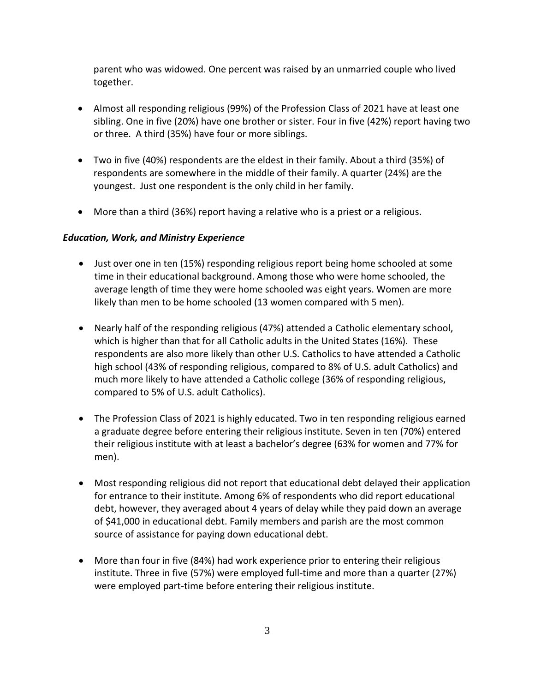parent who was widowed. One percent was raised by an unmarried couple who lived together.

- Almost all responding religious (99%) of the Profession Class of 2021 have at least one sibling. One in five (20%) have one brother or sister. Four in five (42%) report having two or three. A third (35%) have four or more siblings.
- Two in five (40%) respondents are the eldest in their family. About a third (35%) of respondents are somewhere in the middle of their family. A quarter (24%) are the youngest. Just one respondent is the only child in her family.
- More than a third (36%) report having a relative who is a priest or a religious.

#### *Education, Work, and Ministry Experience*

- Just over one in ten (15%) responding religious report being home schooled at some time in their educational background. Among those who were home schooled, the average length of time they were home schooled was eight years. Women are more likely than men to be home schooled (13 women compared with 5 men).
- Nearly half of the responding religious (47%) attended a Catholic elementary school, which is higher than that for all Catholic adults in the United States (16%). These respondents are also more likely than other U.S. Catholics to have attended a Catholic high school (43% of responding religious, compared to 8% of U.S. adult Catholics) and much more likely to have attended a Catholic college (36% of responding religious, compared to 5% of U.S. adult Catholics).
- The Profession Class of 2021 is highly educated. Two in ten responding religious earned a graduate degree before entering their religious institute. Seven in ten (70%) entered their religious institute with at least a bachelor's degree (63% for women and 77% for men).
- Most responding religious did not report that educational debt delayed their application for entrance to their institute. Among 6% of respondents who did report educational debt, however, they averaged about 4 years of delay while they paid down an average of \$41,000 in educational debt. Family members and parish are the most common source of assistance for paying down educational debt.
- More than four in five (84%) had work experience prior to entering their religious institute. Three in five (57%) were employed full-time and more than a quarter (27%) were employed part-time before entering their religious institute.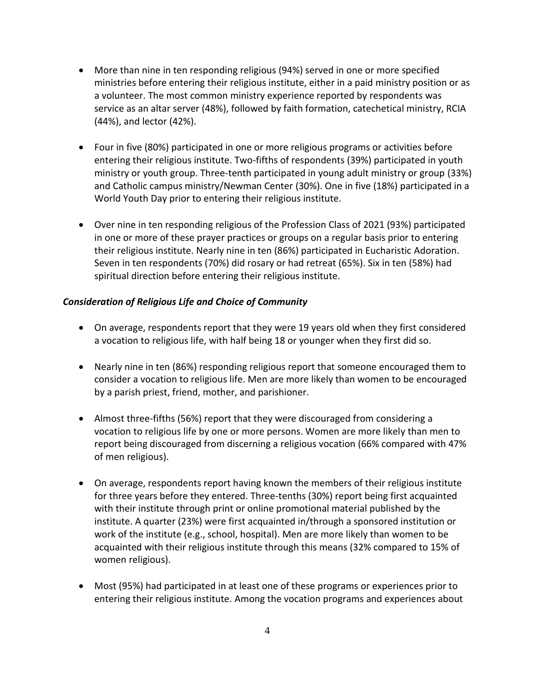- More than nine in ten responding religious (94%) served in one or more specified ministries before entering their religious institute, either in a paid ministry position or as a volunteer. The most common ministry experience reported by respondents was service as an altar server (48%), followed by faith formation, catechetical ministry, RCIA (44%), and lector (42%).
- Four in five (80%) participated in one or more religious programs or activities before entering their religious institute. Two-fifths of respondents (39%) participated in youth ministry or youth group. Three-tenth participated in young adult ministry or group (33%) and Catholic campus ministry/Newman Center (30%). One in five (18%) participated in a World Youth Day prior to entering their religious institute.
- Over nine in ten responding religious of the Profession Class of 2021 (93%) participated in one or more of these prayer practices or groups on a regular basis prior to entering their religious institute. Nearly nine in ten (86%) participated in Eucharistic Adoration. Seven in ten respondents (70%) did rosary or had retreat (65%). Six in ten (58%) had spiritual direction before entering their religious institute.

#### *Consideration of Religious Life and Choice of Community*

- On average, respondents report that they were 19 years old when they first considered a vocation to religious life, with half being 18 or younger when they first did so.
- Nearly nine in ten (86%) responding religious report that someone encouraged them to consider a vocation to religious life. Men are more likely than women to be encouraged by a parish priest, friend, mother, and parishioner.
- Almost three-fifths (56%) report that they were discouraged from considering a vocation to religious life by one or more persons. Women are more likely than men to report being discouraged from discerning a religious vocation (66% compared with 47% of men religious).
- On average, respondents report having known the members of their religious institute for three years before they entered. Three-tenths (30%) report being first acquainted with their institute through print or online promotional material published by the institute. A quarter (23%) were first acquainted in/through a sponsored institution or work of the institute (e.g., school, hospital). Men are more likely than women to be acquainted with their religious institute through this means (32% compared to 15% of women religious).
- Most (95%) had participated in at least one of these programs or experiences prior to entering their religious institute. Among the vocation programs and experiences about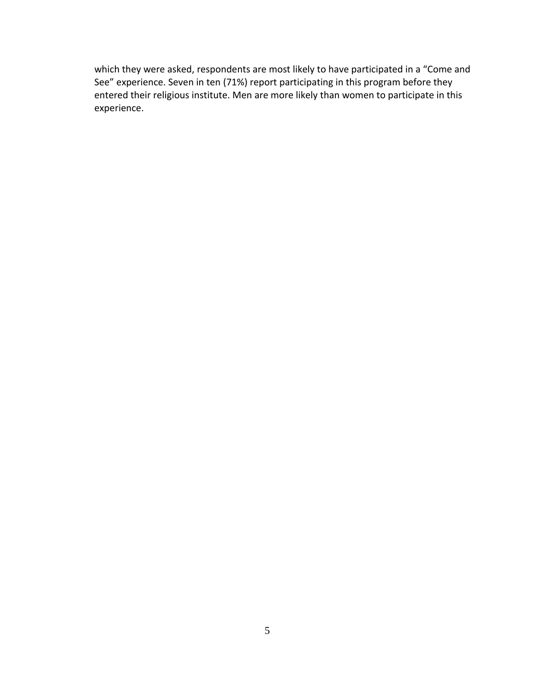which they were asked, respondents are most likely to have participated in a "Come and See" experience. Seven in ten (71%) report participating in this program before they entered their religious institute. Men are more likely than women to participate in this experience.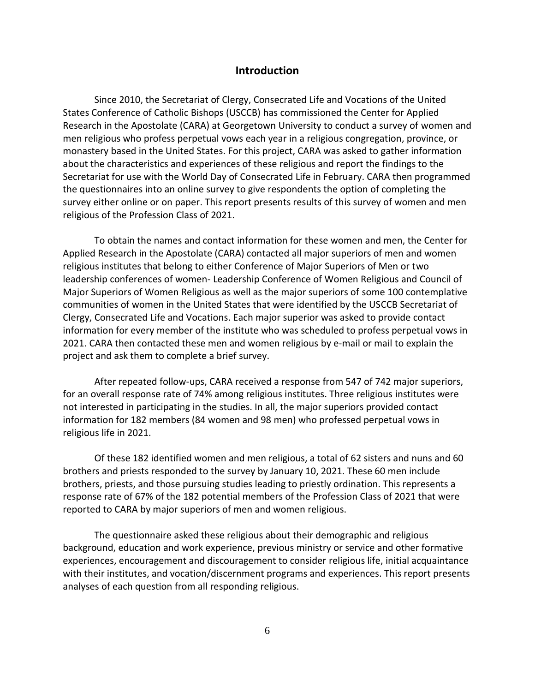#### **Introduction**

<span id="page-9-0"></span>Since 2010, the Secretariat of Clergy, Consecrated Life and Vocations of the United States Conference of Catholic Bishops (USCCB) has commissioned the Center for Applied Research in the Apostolate (CARA) at Georgetown University to conduct a survey of women and men religious who profess perpetual vows each year in a religious congregation, province, or monastery based in the United States. For this project, CARA was asked to gather information about the characteristics and experiences of these religious and report the findings to the Secretariat for use with the World Day of Consecrated Life in February. CARA then programmed the questionnaires into an online survey to give respondents the option of completing the survey either online or on paper. This report presents results of this survey of women and men religious of the Profession Class of 2021.

To obtain the names and contact information for these women and men, the Center for Applied Research in the Apostolate (CARA) contacted all major superiors of men and women religious institutes that belong to either Conference of Major Superiors of Men or two leadership conferences of women- Leadership Conference of Women Religious and Council of Major Superiors of Women Religious as well as the major superiors of some 100 contemplative communities of women in the United States that were identified by the USCCB Secretariat of Clergy, Consecrated Life and Vocations. Each major superior was asked to provide contact information for every member of the institute who was scheduled to profess perpetual vows in 2021. CARA then contacted these men and women religious by e-mail or mail to explain the project and ask them to complete a brief survey.

After repeated follow-ups, CARA received a response from 547 of 742 major superiors, for an overall response rate of 74% among religious institutes. Three religious institutes were not interested in participating in the studies. In all, the major superiors provided contact information for 182 members (84 women and 98 men) who professed perpetual vows in religious life in 2021.

Of these 182 identified women and men religious, a total of 62 sisters and nuns and 60 brothers and priests responded to the survey by January 10, 2021. These 60 men include brothers, priests, and those pursuing studies leading to priestly ordination. This represents a response rate of 67% of the 182 potential members of the Profession Class of 2021 that were reported to CARA by major superiors of men and women religious.

The questionnaire asked these religious about their demographic and religious background, education and work experience, previous ministry or service and other formative experiences, encouragement and discouragement to consider religious life, initial acquaintance with their institutes, and vocation/discernment programs and experiences. This report presents analyses of each question from all responding religious.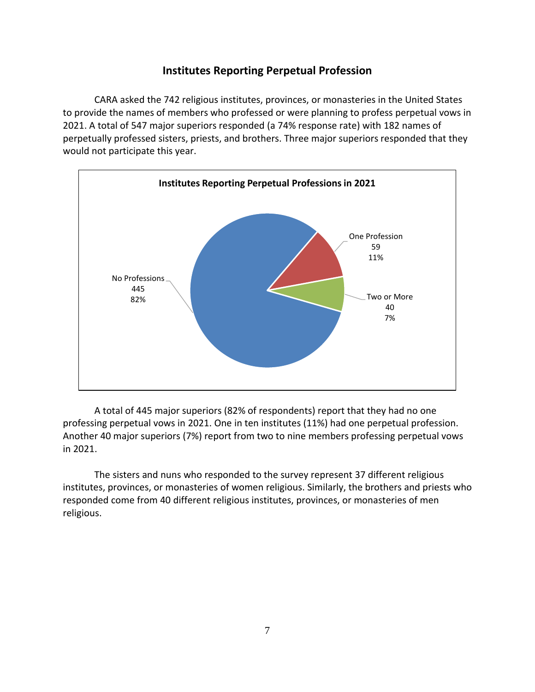#### **Institutes Reporting Perpetual Profession**

<span id="page-10-0"></span>CARA asked the 742 religious institutes, provinces, or monasteries in the United States to provide the names of members who professed or were planning to profess perpetual vows in 2021. A total of 547 major superiors responded (a 74% response rate) with 182 names of perpetually professed sisters, priests, and brothers. Three major superiors responded that they would not participate this year.



A total of 445 major superiors (82% of respondents) report that they had no one professing perpetual vows in 2021. One in ten institutes (11%) had one perpetual profession. Another 40 major superiors (7%) report from two to nine members professing perpetual vows in 2021.

The sisters and nuns who responded to the survey represent 37 different religious institutes, provinces, or monasteries of women religious. Similarly, the brothers and priests who responded come from 40 different religious institutes, provinces, or monasteries of men religious.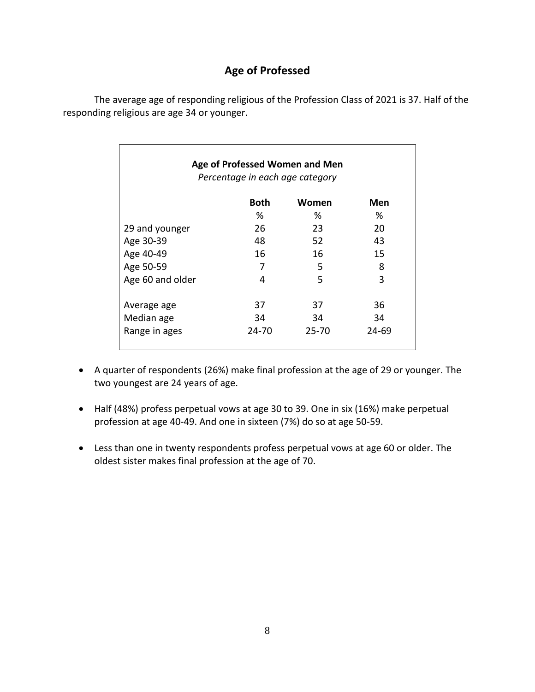### **Age of Professed**

<span id="page-11-0"></span>The average age of responding religious of the Profession Class of 2021 is 37. Half of the responding religious are age 34 or younger.

| Age of Professed Women and Men<br>Percentage in each age category |             |       |       |  |  |
|-------------------------------------------------------------------|-------------|-------|-------|--|--|
|                                                                   | <b>Both</b> | Women | Men   |  |  |
|                                                                   | ℅           | ℅     | %     |  |  |
| 29 and younger                                                    | 26          | 23    | 20    |  |  |
| Age 30-39                                                         | 48          | 52    | 43    |  |  |
| Age 40-49                                                         | 16          | 16    | 15    |  |  |
| Age 50-59                                                         | 7           | 5     | 8     |  |  |
| Age 60 and older                                                  | 4           | 5     | 3     |  |  |
| Average age                                                       | 37          | 37    | 36    |  |  |
| Median age                                                        | 34          | 34    | 34    |  |  |
| Range in ages                                                     | 24-70       | 25-70 | 24-69 |  |  |

- A quarter of respondents (26%) make final profession at the age of 29 or younger. The two youngest are 24 years of age.
- Half (48%) profess perpetual vows at age 30 to 39. One in six (16%) make perpetual profession at age 40-49. And one in sixteen (7%) do so at age 50-59.
- Less than one in twenty respondents profess perpetual vows at age 60 or older. The oldest sister makes final profession at the age of 70.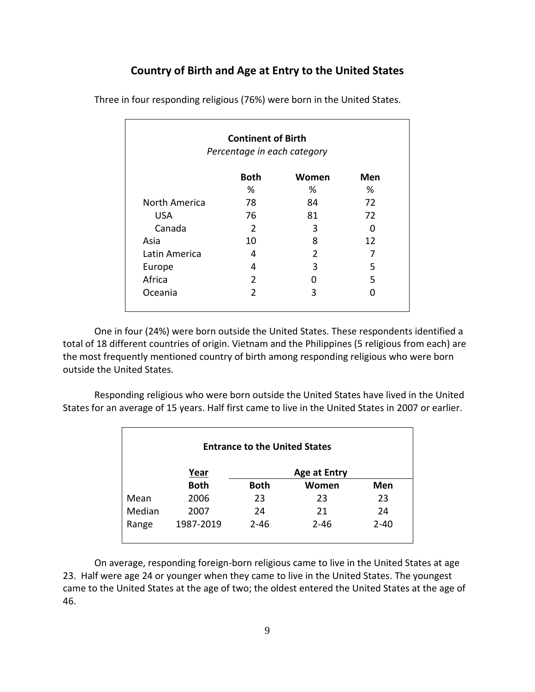#### **Country of Birth and Age at Entry to the United States**

| <b>Continent of Birth</b><br>Percentage in each category |                |       |     |
|----------------------------------------------------------|----------------|-------|-----|
|                                                          | <b>Both</b>    | Women | Men |
|                                                          | %              | %     | %   |
| North America                                            | 78             | 84    | 72  |
| <b>USA</b>                                               | 76             | 81    | 72  |
| Canada                                                   | 2              | 3     | O   |
| Asia                                                     | 10             | 8     | 12  |
| Latin America                                            | 4              | 2     | 7   |
| Europe                                                   | 4              | 3     | 5   |
| Africa                                                   | $\mathcal{P}$  | O     | 5   |
| Oceania                                                  | $\mathfrak{p}$ | 3     |     |

<span id="page-12-0"></span>Three in four responding religious (76%) were born in the United States.

One in four (24%) were born outside the United States. These respondents identified a total of 18 different countries of origin. Vietnam and the Philippines (5 religious from each) are the most frequently mentioned country of birth among responding religious who were born outside the United States.

Responding religious who were born outside the United States have lived in the United States for an average of 15 years. Half first came to live in the United States in 2007 or earlier.

| <b>Entrance to the United States</b> |             |             |                     |          |
|--------------------------------------|-------------|-------------|---------------------|----------|
|                                      | Year        |             | <b>Age at Entry</b> |          |
|                                      | <b>Both</b> | <b>Both</b> | Women               | Men      |
| Mean                                 | 2006        | 23          | 23                  | 23       |
| Median                               | 2007        | 24          | 21                  | 24       |
| Range                                | 1987-2019   | $2 - 46$    | $2 - 46$            | $2 - 40$ |

On average, responding foreign-born religious came to live in the United States at age 23. Half were age 24 or younger when they came to live in the United States. The youngest came to the United States at the age of two; the oldest entered the United States at the age of 46.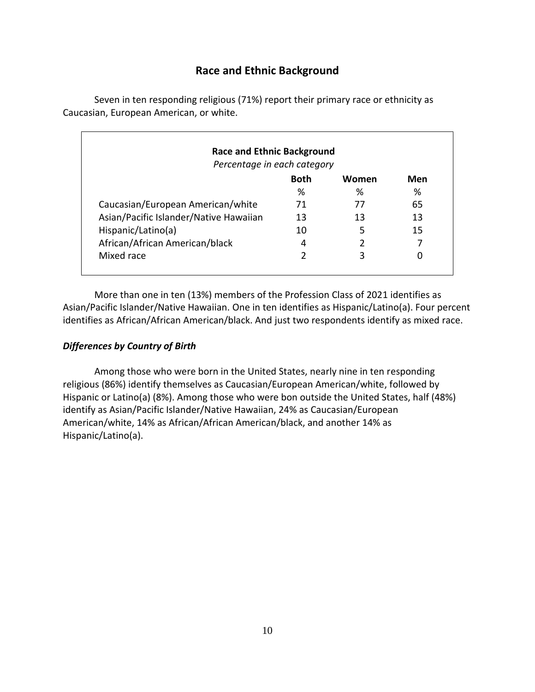### **Race and Ethnic Background**

<span id="page-13-0"></span>Seven in ten responding religious (71%) report their primary race or ethnicity as Caucasian, European American, or white.

| <b>Race and Ethnic Background</b><br>Percentage in each category |             |       |     |
|------------------------------------------------------------------|-------------|-------|-----|
|                                                                  | <b>Both</b> | Women | Men |
|                                                                  | ℅           | ℅     | %   |
| Caucasian/European American/white                                | 71          | 77    | 65  |
| Asian/Pacific Islander/Native Hawaiian                           | 13          | 13    | 13  |
| Hispanic/Latino(a)                                               | 10          | 5     | 15  |
| African/African American/black                                   | 4           | 2     |     |
| Mixed race                                                       | 2           | 3     | 0   |
|                                                                  |             |       |     |

More than one in ten (13%) members of the Profession Class of 2021 identifies as Asian/Pacific Islander/Native Hawaiian. One in ten identifies as Hispanic/Latino(a). Four percent identifies as African/African American/black. And just two respondents identify as mixed race.

#### *Differences by Country of Birth*

Among those who were born in the United States, nearly nine in ten responding religious (86%) identify themselves as Caucasian/European American/white, followed by Hispanic or Latino(a) (8%). Among those who were bon outside the United States, half (48%) identify as Asian/Pacific Islander/Native Hawaiian, 24% as Caucasian/European American/white, 14% as African/African American/black, and another 14% as Hispanic/Latino(a).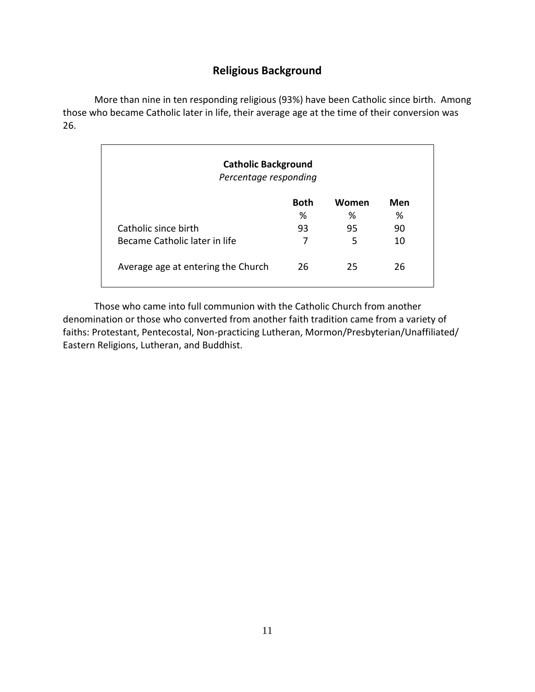### **Religious Background**

<span id="page-14-0"></span>More than nine in ten responding religious (93%) have been Catholic since birth. Among those who became Catholic later in life, their average age at the time of their conversion was 26.

| <b>Catholic Background</b><br>Percentage responding |             |       |     |  |
|-----------------------------------------------------|-------------|-------|-----|--|
|                                                     | <b>Both</b> | Women | Men |  |
|                                                     | %           | ℅     | %   |  |
| Catholic since birth                                | 93          | 95    | 90  |  |
| Became Catholic later in life                       | 7           | 5     | 10  |  |
| Average age at entering the Church                  | 26          | 25    | 26  |  |

Those who came into full communion with the Catholic Church from another denomination or those who converted from another faith tradition came from a variety of faiths: Protestant, Pentecostal, Non-practicing Lutheran, Mormon/Presbyterian/Unaffiliated/ Eastern Religions, Lutheran, and Buddhist.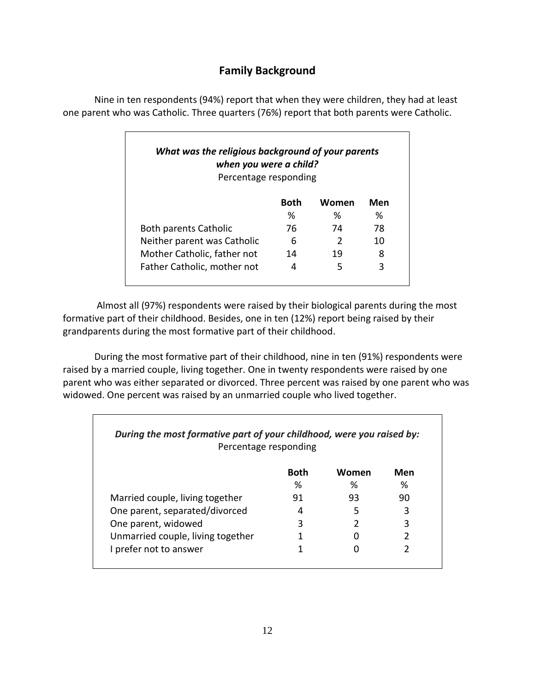### **Family Background**

<span id="page-15-0"></span>Nine in ten respondents (94%) report that when they were children, they had at least one parent who was Catholic. Three quarters (76%) report that both parents were Catholic.

| What was the religious background of your parents<br>when you were a child?<br>Percentage responding |      |       |     |
|------------------------------------------------------------------------------------------------------|------|-------|-----|
|                                                                                                      | Both | Women | Men |
|                                                                                                      | ℅    | ℅     | ℅   |
| <b>Both parents Catholic</b>                                                                         | 76   | 74    | 78  |
| Neither parent was Catholic                                                                          | 6    | 2     | 10  |
| Mother Catholic, father not                                                                          | 14   | 19    | 8   |
| Father Catholic, mother not                                                                          | 4    | 5     | 3   |

Almost all (97%) respondents were raised by their biological parents during the most formative part of their childhood. Besides, one in ten (12%) report being raised by their grandparents during the most formative part of their childhood.

During the most formative part of their childhood, nine in ten (91%) respondents were raised by a married couple, living together. One in twenty respondents were raised by one parent who was either separated or divorced. Three percent was raised by one parent who was widowed. One percent was raised by an unmarried couple who lived together.

| Percentage responding             |             |       |     |
|-----------------------------------|-------------|-------|-----|
|                                   | <b>Both</b> | Women | Men |
|                                   | ℅           | ℅     | ℅   |
| Married couple, living together   | 91          | 93    | 90  |
| One parent, separated/divorced    | 4           | 5     | 3   |
| One parent, widowed               | 3           | 2     | 3   |
| Unmarried couple, living together |             |       |     |
| I prefer not to answer            |             |       |     |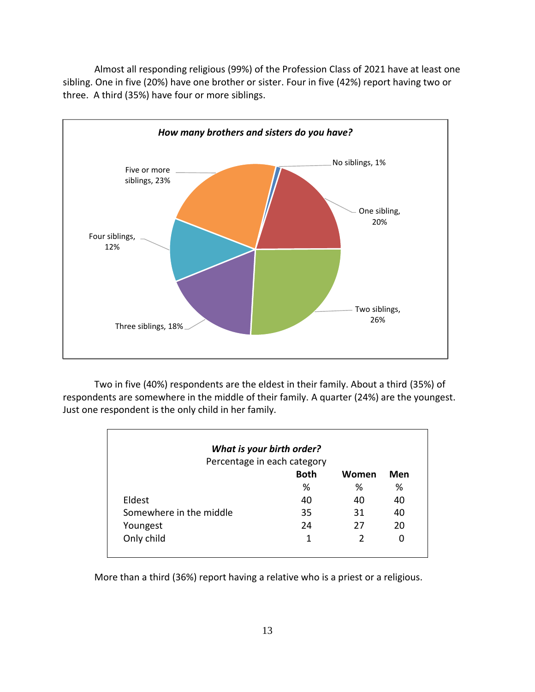Almost all responding religious (99%) of the Profession Class of 2021 have at least one sibling. One in five (20%) have one brother or sister. Four in five (42%) report having two or three. A third (35%) have four or more siblings.



Two in five (40%) respondents are the eldest in their family. About a third (35%) of respondents are somewhere in the middle of their family. A quarter (24%) are the youngest. Just one respondent is the only child in her family.

|                         | What is your birth order?   |       |     |
|-------------------------|-----------------------------|-------|-----|
|                         | Percentage in each category |       |     |
|                         | <b>Both</b>                 | Women | Men |
|                         | %                           | %     | %   |
| Eldest                  | 40                          | 40    | 40  |
| Somewhere in the middle | 35                          | 31    | 40  |
| Youngest                | 24                          | 27    | 20  |
| Only child              | 1                           | 2     | 0   |

More than a third (36%) report having a relative who is a priest or a religious.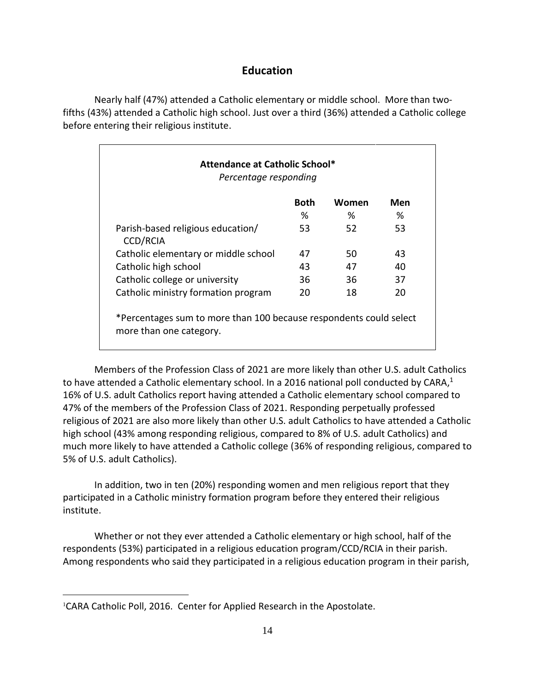#### **Education**

<span id="page-17-0"></span>Nearly half (47%) attended a Catholic elementary or middle school. More than twofifths (43%) attended a Catholic high school. Just over a third (36%) attended a Catholic college before entering their religious institute.

| Attendance at Catholic School*<br>Percentage responding                                       |      |       |     |
|-----------------------------------------------------------------------------------------------|------|-------|-----|
|                                                                                               | Both | Women | Men |
|                                                                                               | %    | %     | %   |
| Parish-based religious education/<br><b>CCD/RCIA</b>                                          | 53   | 52    | 53. |
| Catholic elementary or middle school                                                          | 47   | 50    | 43  |
| Catholic high school                                                                          | 43   | 47    | 40  |
| Catholic college or university                                                                | 36   | 36    | 37  |
| Catholic ministry formation program                                                           | 20   | 18    | 20  |
| *Percentages sum to more than 100 because respondents could select<br>more than one category. |      |       |     |

Members of the Profession Class of 2021 are more likely than other U.S. adult Catholics to have attended a Catholic elementary school. In a 2016 national poll conducted by CARA,<sup>1</sup> 16% of U.S. adult Catholics report having attended a Catholic elementary school compared to 47% of the members of the Profession Class of 2021. Responding perpetually professed religious of 2021 are also more likely than other U.S. adult Catholics to have attended a Catholic high school (43% among responding religious, compared to 8% of U.S. adult Catholics) and much more likely to have attended a Catholic college (36% of responding religious, compared to 5% of U.S. adult Catholics).

In addition, two in ten (20%) responding women and men religious report that they participated in a Catholic ministry formation program before they entered their religious institute.

Whether or not they ever attended a Catholic elementary or high school, half of the respondents (53%) participated in a religious education program/CCD/RCIA in their parish. Among respondents who said they participated in a religious education program in their parish,

 $\overline{a}$ 

<sup>&</sup>lt;sup>1</sup>CARA Catholic Poll, 2016. Center for Applied Research in the Apostolate.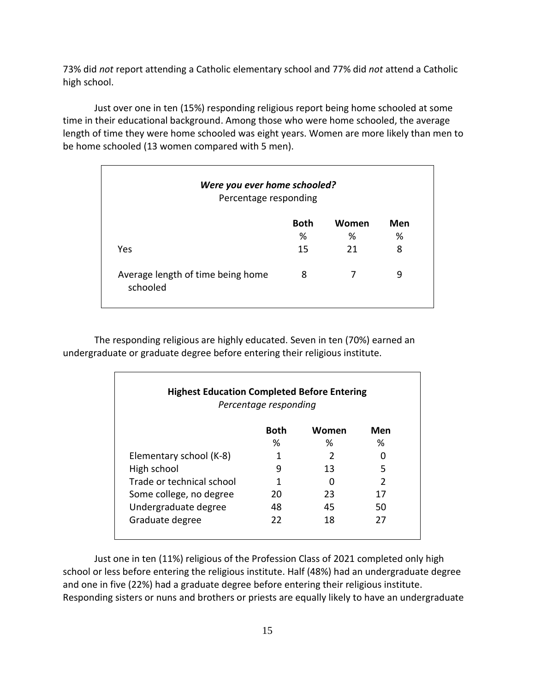73% did *not* report attending a Catholic elementary school and 77% did *not* attend a Catholic high school.

Just over one in ten (15%) responding religious report being home schooled at some time in their educational background. Among those who were home schooled, the average length of time they were home schooled was eight years. Women are more likely than men to be home schooled (13 women compared with 5 men).

| Were you ever home schooled?<br>Percentage responding |             |       |     |
|-------------------------------------------------------|-------------|-------|-----|
|                                                       | <b>Both</b> | Women | Men |
|                                                       | %           | %     | ℅   |
| Yes                                                   | 15          | 21    | 8   |
| Average length of time being home<br>schooled         | 8           |       | 9   |

The responding religious are highly educated. Seven in ten (70%) earned an undergraduate or graduate degree before entering their religious institute.

|                           | Percentage responding | <b>Highest Education Completed Before Entering</b> |               |
|---------------------------|-----------------------|----------------------------------------------------|---------------|
|                           | Both                  | Women                                              | Men           |
|                           | ℅                     | %                                                  | ℅             |
| Elementary school (K-8)   | 1                     | C                                                  |               |
| High school               | g                     | 13                                                 | 5             |
| Trade or technical school | 1                     |                                                    | $\mathcal{P}$ |
| Some college, no degree   | 20                    | 23                                                 | 17            |
| Undergraduate degree      | 48                    | 45                                                 | 50            |
| Graduate degree           | 22                    | 18                                                 | 27            |

Just one in ten (11%) religious of the Profession Class of 2021 completed only high school or less before entering the religious institute. Half (48%) had an undergraduate degree and one in five (22%) had a graduate degree before entering their religious institute. Responding sisters or nuns and brothers or priests are equally likely to have an undergraduate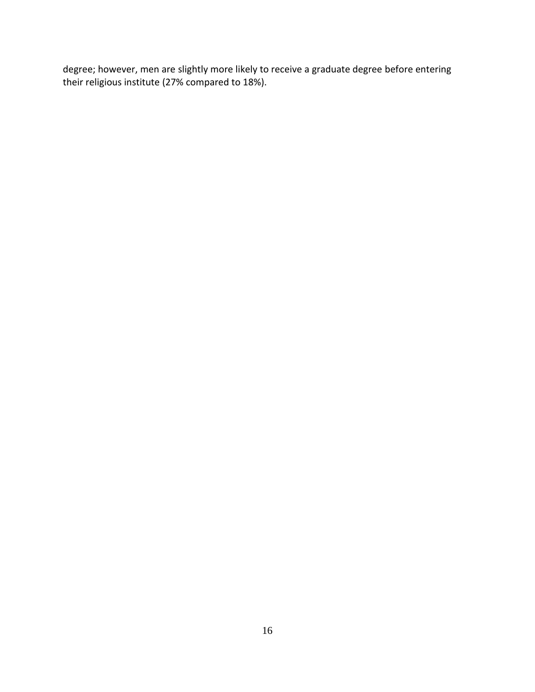degree; however, men are slightly more likely to receive a graduate degree before entering their religious institute (27% compared to 18%).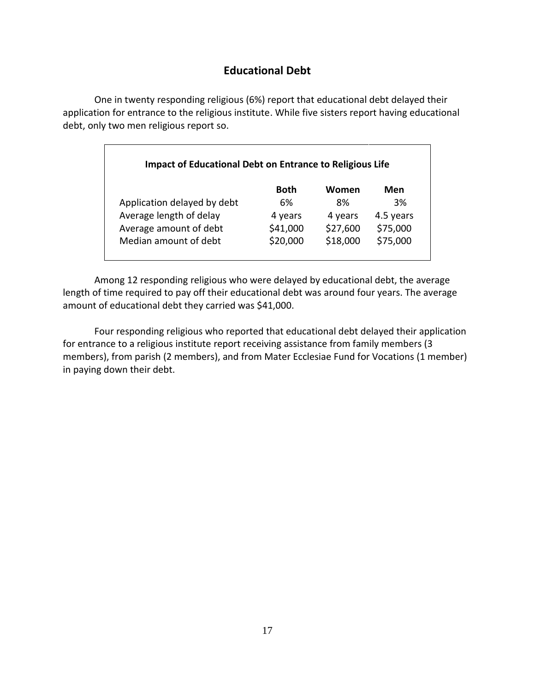### **Educational Debt**

<span id="page-20-0"></span>One in twenty responding religious (6%) report that educational debt delayed their application for entrance to the religious institute. While five sisters report having educational debt, only two men religious report so.

| <b>Impact of Educational Debt on Entrance to Religious Life</b> |          |          |           |
|-----------------------------------------------------------------|----------|----------|-----------|
|                                                                 | Both     | Women    | Men       |
| Application delayed by debt                                     | 6%       | 8%       | 3%        |
| Average length of delay                                         | 4 years  | 4 years  | 4.5 years |
| Average amount of debt                                          | \$41,000 | \$27,600 | \$75,000  |
| Median amount of debt                                           | \$20,000 | \$18,000 | \$75,000  |

Among 12 responding religious who were delayed by educational debt, the average length of time required to pay off their educational debt was around four years. The average amount of educational debt they carried was \$41,000.

Four responding religious who reported that educational debt delayed their application for entrance to a religious institute report receiving assistance from family members (3 members), from parish (2 members), and from Mater Ecclesiae Fund for Vocations (1 member) in paying down their debt.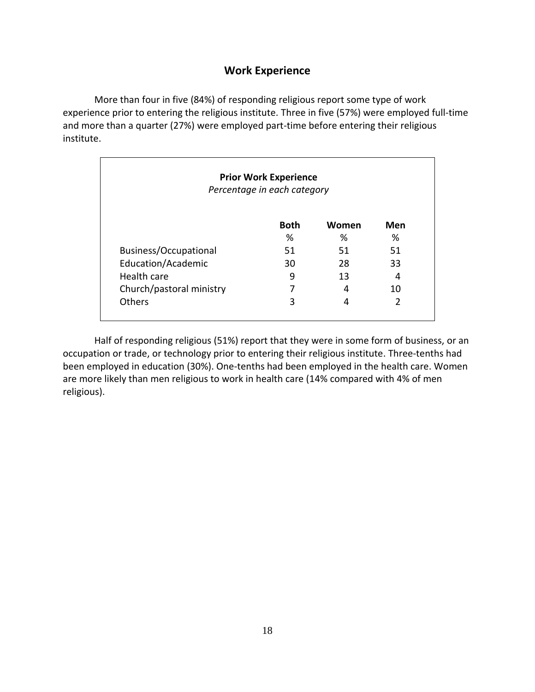### **Work Experience**

<span id="page-21-0"></span>More than four in five (84%) of responding religious report some type of work experience prior to entering the religious institute. Three in five (57%) were employed full-time and more than a quarter (27%) were employed part-time before entering their religious institute.

| <b>Prior Work Experience</b><br>Percentage in each category |             |       |     |
|-------------------------------------------------------------|-------------|-------|-----|
|                                                             | <b>Both</b> | Women | Men |
|                                                             | ℅           | %     | ℅   |
| Business/Occupational                                       | 51          | 51    | 51  |
| Education/Academic                                          | 30          | 28    | 33  |
| Health care                                                 | 9           | 13    | 4   |
| Church/pastoral ministry                                    | 7           | 4     | 10  |
| Others                                                      | 3           | 4     | 2   |

Half of responding religious (51%) report that they were in some form of business, or an occupation or trade, or technology prior to entering their religious institute. Three-tenths had been employed in education (30%). One-tenths had been employed in the health care. Women are more likely than men religious to work in health care (14% compared with 4% of men religious).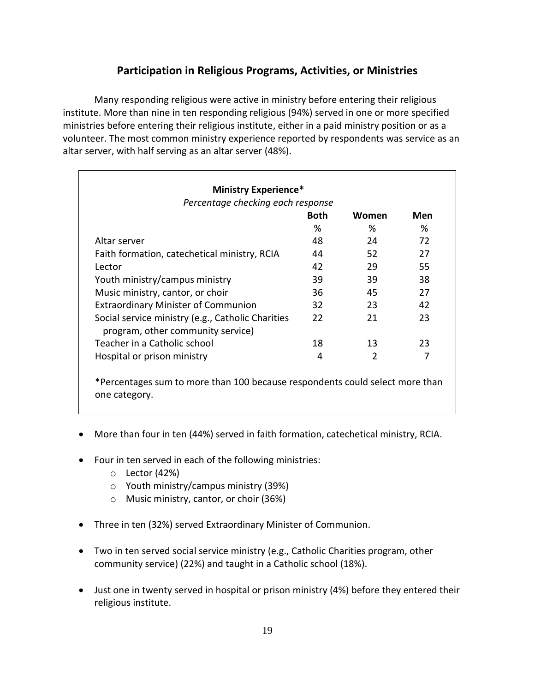### **Participation in Religious Programs, Activities, or Ministries**

<span id="page-22-0"></span>Many responding religious were active in ministry before entering their religious institute. More than nine in ten responding religious (94%) served in one or more specified ministries before entering their religious institute, either in a paid ministry position or as a volunteer. The most common ministry experience reported by respondents was service as an altar server, with half serving as an altar server (48%).

| <b>Ministry Experience*</b>                                                            |             |                |     |
|----------------------------------------------------------------------------------------|-------------|----------------|-----|
| Percentage checking each response                                                      |             |                |     |
|                                                                                        | <b>Both</b> | Women          | Men |
|                                                                                        | %           | %              | %   |
| Altar server                                                                           | 48          | 24             | 72  |
| Faith formation, catechetical ministry, RCIA                                           | 44          | 52             | 27  |
| Lector                                                                                 | 42          | 29             | 55  |
| Youth ministry/campus ministry                                                         | 39          | 39             | 38  |
| Music ministry, cantor, or choir                                                       | 36          | 45             | 27  |
| <b>Extraordinary Minister of Communion</b>                                             | 32          | 23             | 42  |
| Social service ministry (e.g., Catholic Charities<br>program, other community service) | 22          | 21             | 23  |
| Teacher in a Catholic school                                                           | 18          | 13             | 23  |
| Hospital or prison ministry                                                            | 4           | $\mathfrak{p}$ | 7   |
|                                                                                        |             |                |     |

\*Percentages sum to more than 100 because respondents could select more than one category.

- More than four in ten (44%) served in faith formation, catechetical ministry, RCIA.
- Four in ten served in each of the following ministries:
	- o Lector (42%)
	- o Youth ministry/campus ministry (39%)
	- o Music ministry, cantor, or choir (36%)
- Three in ten (32%) served Extraordinary Minister of Communion.
- Two in ten served social service ministry (e.g., Catholic Charities program, other community service) (22%) and taught in a Catholic school (18%).
- Just one in twenty served in hospital or prison ministry (4%) before they entered their religious institute.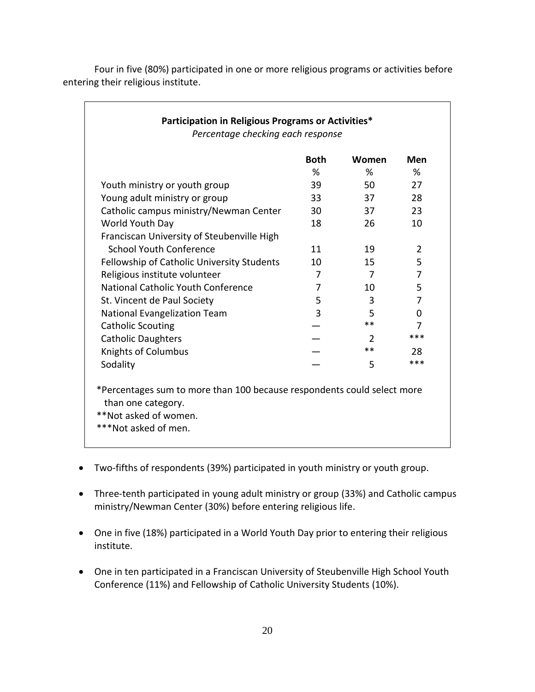| Youth ministry or youth group<br>Young adult ministry or group<br>Catholic campus ministry/Newman Center<br>World Youth Day<br>Franciscan University of Steubenville High<br><b>School Youth Conference</b><br>Fellowship of Catholic University Students | %<br>39<br>33<br>30<br>18 | %<br>50<br>37<br>37<br>26 | ℅<br>27<br>28<br>23 |
|-----------------------------------------------------------------------------------------------------------------------------------------------------------------------------------------------------------------------------------------------------------|---------------------------|---------------------------|---------------------|
|                                                                                                                                                                                                                                                           |                           |                           |                     |
|                                                                                                                                                                                                                                                           |                           |                           |                     |
|                                                                                                                                                                                                                                                           |                           |                           |                     |
|                                                                                                                                                                                                                                                           |                           |                           |                     |
|                                                                                                                                                                                                                                                           |                           |                           | 10                  |
|                                                                                                                                                                                                                                                           |                           |                           |                     |
|                                                                                                                                                                                                                                                           | 11                        | 19                        | 2                   |
|                                                                                                                                                                                                                                                           | 10                        | 15                        | 5                   |
| Religious institute volunteer                                                                                                                                                                                                                             | 7                         | 7                         | 7                   |
| National Catholic Youth Conference                                                                                                                                                                                                                        | 7                         | 10                        | 5                   |
| St. Vincent de Paul Society                                                                                                                                                                                                                               | 5                         | 3                         | 7                   |
| <b>National Evangelization Team</b>                                                                                                                                                                                                                       | 3                         | 5                         | $\Omega$            |
| <b>Catholic Scouting</b>                                                                                                                                                                                                                                  |                           | $***$                     | 7                   |
| <b>Catholic Daughters</b>                                                                                                                                                                                                                                 |                           | $\mathcal{P}$             | ***                 |
| <b>Knights of Columbus</b>                                                                                                                                                                                                                                |                           | $***$                     | 28                  |
| Sodality                                                                                                                                                                                                                                                  |                           | 5                         | ***                 |
| *Percentages sum to more than 100 because respondents could select more                                                                                                                                                                                   |                           |                           |                     |
| than one category.                                                                                                                                                                                                                                        |                           |                           |                     |

Four in five (80%) participated in one or more religious programs or activities before entering their religious institute.

- Two-fifths of respondents (39%) participated in youth ministry or youth group.
- Three-tenth participated in young adult ministry or group (33%) and Catholic campus ministry/Newman Center (30%) before entering religious life.
- One in five (18%) participated in a World Youth Day prior to entering their religious institute.
- One in ten participated in a Franciscan University of Steubenville High School Youth Conference (11%) and Fellowship of Catholic University Students (10%).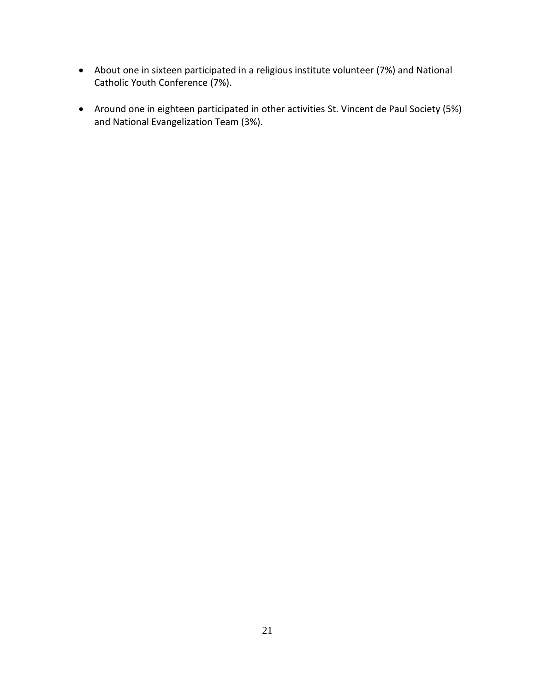- About one in sixteen participated in a religious institute volunteer (7%) and National Catholic Youth Conference (7%).
- Around one in eighteen participated in other activities St. Vincent de Paul Society (5%) and National Evangelization Team (3%).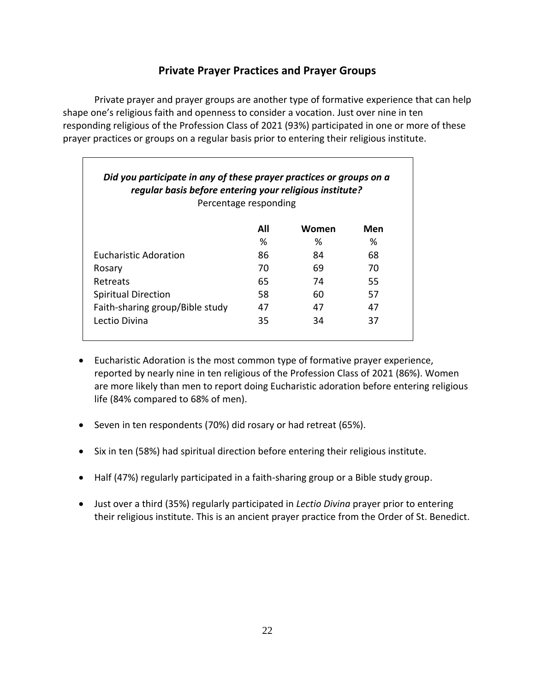### **Private Prayer Practices and Prayer Groups**

<span id="page-25-0"></span>Private prayer and prayer groups are another type of formative experience that can help shape one's religious faith and openness to consider a vocation. Just over nine in ten responding religious of the Profession Class of 2021 (93%) participated in one or more of these prayer practices or groups on a regular basis prior to entering their religious institute.

| Did you participate in any of these prayer practices or groups on a<br>regular basis before entering your religious institute?<br>Percentage responding |     |       |     |
|---------------------------------------------------------------------------------------------------------------------------------------------------------|-----|-------|-----|
|                                                                                                                                                         | All | Women | Men |
|                                                                                                                                                         | %   | ℅     | ℅   |
| <b>Eucharistic Adoration</b>                                                                                                                            | 86  | 84    | 68  |
| Rosary                                                                                                                                                  | 70  | 69    | 70  |
| Retreats                                                                                                                                                | 65  | 74    | 55. |
| <b>Spiritual Direction</b>                                                                                                                              | 58  | 60    | 57  |
| Faith-sharing group/Bible study                                                                                                                         | 47  | 47    | 47  |
| Lectio Divina                                                                                                                                           | 35  | 34    | 37  |

- Eucharistic Adoration is the most common type of formative prayer experience, reported by nearly nine in ten religious of the Profession Class of 2021 (86%). Women are more likely than men to report doing Eucharistic adoration before entering religious life (84% compared to 68% of men).
- Seven in ten respondents (70%) did rosary or had retreat (65%).
- Six in ten (58%) had spiritual direction before entering their religious institute.
- Half (47%) regularly participated in a faith-sharing group or a Bible study group.
- Just over a third (35%) regularly participated in *Lectio Divina* prayer prior to entering their religious institute. This is an ancient prayer practice from the Order of St. Benedict.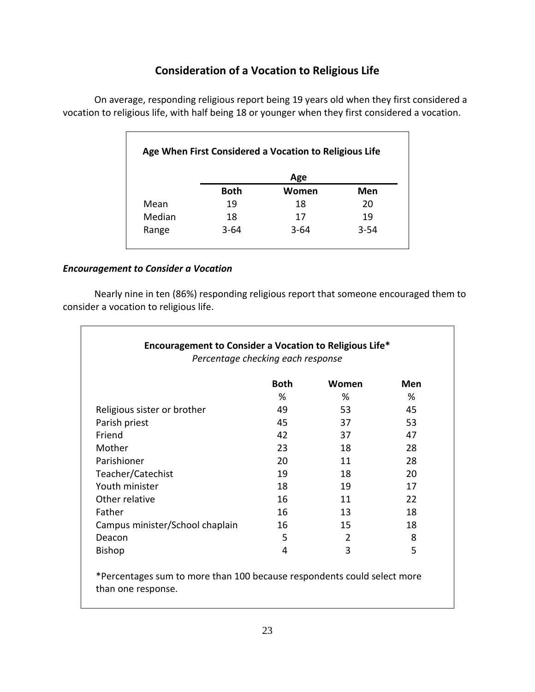### **Consideration of a Vocation to Religious Life**

<span id="page-26-0"></span>On average, responding religious report being 19 years old when they first considered a vocation to religious life, with half being 18 or younger when they first considered a vocation.

|        |             | Age      |          |
|--------|-------------|----------|----------|
|        | <b>Both</b> | Women    | Men      |
| Mean   | 19          | 18       | 20       |
| Median | 18          | 17       | 19       |
| Range  | $3 - 64$    | $3 - 64$ | $3 - 54$ |

#### *Encouragement to Consider a Vocation*

Nearly nine in ten (86%) responding religious report that someone encouraged them to consider a vocation to religious life.

| Encouragement to Consider a Vocation to Religious Life*<br>Percentage checking each response |             |       |     |
|----------------------------------------------------------------------------------------------|-------------|-------|-----|
|                                                                                              | <b>Both</b> | Women | Men |
|                                                                                              | ℅           | %     | %   |
| Religious sister or brother                                                                  | 49          | 53    | 45  |
| Parish priest                                                                                | 45          | 37    | 53  |
| Friend                                                                                       | 42          | 37    | 47  |
| Mother                                                                                       | 23          | 18    | 28  |
| Parishioner                                                                                  | 20          | 11    | 28  |
| Teacher/Catechist                                                                            | 19          | 18    | 20  |
| Youth minister                                                                               | 18          | 19    | 17  |
| Other relative                                                                               | 16          | 11    | 22  |
| Father                                                                                       | 16          | 13    | 18  |
| Campus minister/School chaplain                                                              | 16          | 15    | 18  |
| Deacon                                                                                       | 5           | 2     | 8   |
| <b>Bishop</b>                                                                                | 4           | 3     | 5   |

\*Percentages sum to more than 100 because respondents could select more than one response.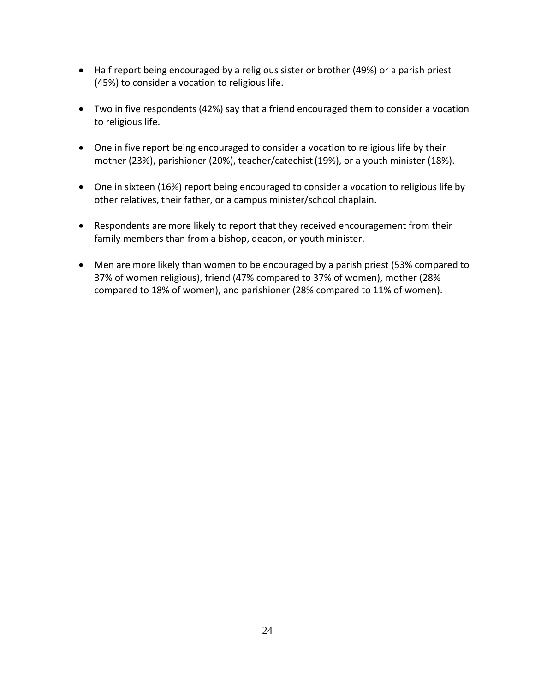- Half report being encouraged by a religious sister or brother (49%) or a parish priest (45%) to consider a vocation to religious life.
- Two in five respondents (42%) say that a friend encouraged them to consider a vocation to religious life.
- One in five report being encouraged to consider a vocation to religious life by their mother (23%), parishioner (20%), teacher/catechist(19%), or a youth minister (18%).
- One in sixteen (16%) report being encouraged to consider a vocation to religious life by other relatives, their father, or a campus minister/school chaplain.
- Respondents are more likely to report that they received encouragement from their family members than from a bishop, deacon, or youth minister.
- Men are more likely than women to be encouraged by a parish priest (53% compared to 37% of women religious), friend (47% compared to 37% of women), mother (28% compared to 18% of women), and parishioner (28% compared to 11% of women).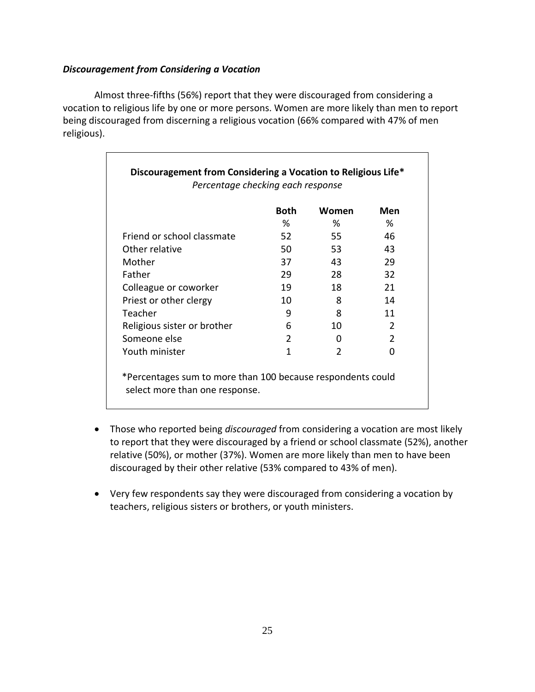#### *Discouragement from Considering a Vocation*

Almost three-fifths (56%) report that they were discouraged from considering a vocation to religious life by one or more persons. Women are more likely than men to report being discouraged from discerning a religious vocation (66% compared with 47% of men religious).

|                             | <b>Both</b> | Women         | Men           |
|-----------------------------|-------------|---------------|---------------|
|                             | ℅           | %             | ℅             |
| Friend or school classmate  | 52          | 55            | 46            |
| Other relative              | 50.         | 53            | 43            |
| Mother                      | 37          | 43            | 29            |
| Father                      | 29          | 28            | 32            |
| Colleague or coworker       | 19          | 18            | 21            |
| Priest or other clergy      | 10          | 8             | 14            |
| Teacher                     | 9           | 8             | 11            |
| Religious sister or brother | 6           | 10            | $\mathcal{P}$ |
| Someone else                | 2           | 0             | $\mathcal{P}$ |
| Youth minister              | 1           | $\mathcal{P}$ | O             |

- Those who reported being *discouraged* from considering a vocation are most likely to report that they were discouraged by a friend or school classmate (52%), another relative (50%), or mother (37%). Women are more likely than men to have been discouraged by their other relative (53% compared to 43% of men).
- Very few respondents say they were discouraged from considering a vocation by teachers, religious sisters or brothers, or youth ministers.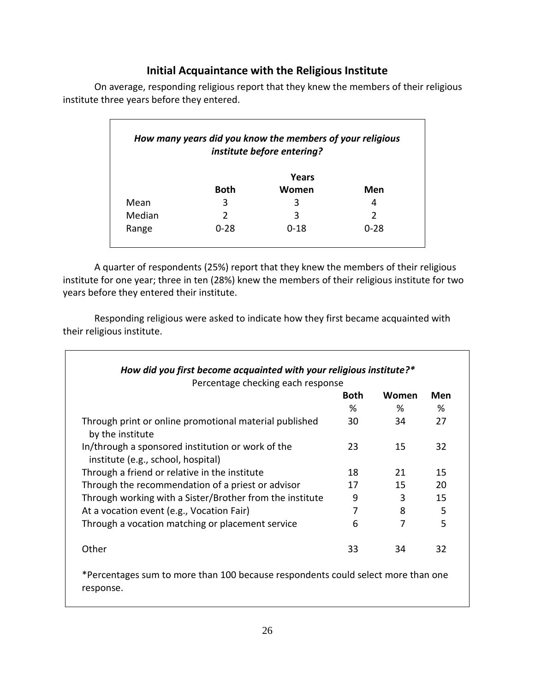### **Initial Acquaintance with the Religious Institute**

| How many years did you know the members of your religious<br>institute before entering? |             |          |          |
|-----------------------------------------------------------------------------------------|-------------|----------|----------|
|                                                                                         |             | Years    |          |
|                                                                                         | <b>Both</b> | Women    | Men      |
| Mean                                                                                    | 3           | 3        | 4        |
| Median                                                                                  | っ           | 3        |          |
| Range                                                                                   | $0 - 28$    | $0 - 18$ | $0 - 28$ |

<span id="page-29-0"></span>On average, responding religious report that they knew the members of their religious institute three years before they entered.

A quarter of respondents (25%) report that they knew the members of their religious institute for one year; three in ten (28%) knew the members of their religious institute for two years before they entered their institute.

Responding religious were asked to indicate how they first became acquainted with their religious institute.

| Percentage checking each response                                                       |             |       |     |
|-----------------------------------------------------------------------------------------|-------------|-------|-----|
|                                                                                         | <b>Both</b> | Women | Men |
|                                                                                         | %           | %     | %   |
| Through print or online promotional material published<br>by the institute              | 30          | 34    | 27  |
| In/through a sponsored institution or work of the<br>institute (e.g., school, hospital) | 23          | 15    | 32  |
| Through a friend or relative in the institute                                           | 18          | 21    | 15  |
| Through the recommendation of a priest or advisor                                       | 17          | 15    | 20  |
| Through working with a Sister/Brother from the institute                                | 9           | 3     | 15  |
| At a vocation event (e.g., Vocation Fair)                                               | 7           | 8     | 5   |
| Through a vocation matching or placement service                                        | 6           | 7     | 5   |
| Other                                                                                   | 33          | 34    | 32  |

\*Percentages sum to more than 100 because respondents could select more than one response.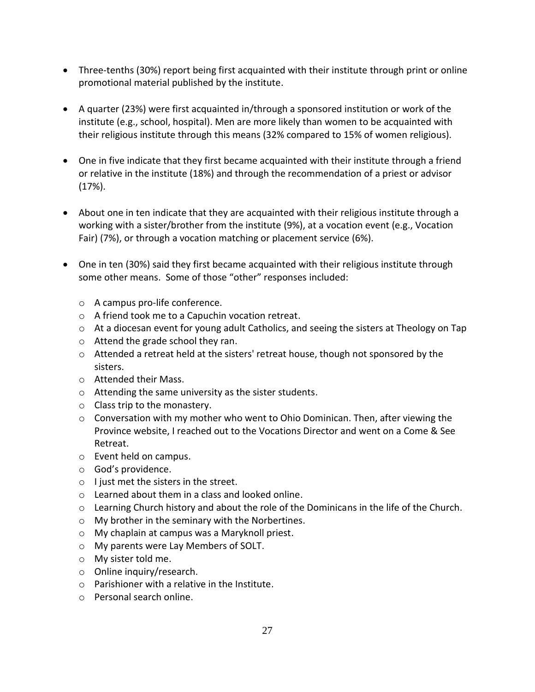- Three-tenths (30%) report being first acquainted with their institute through print or online promotional material published by the institute.
- A quarter (23%) were first acquainted in/through a sponsored institution or work of the institute (e.g., school, hospital). Men are more likely than women to be acquainted with their religious institute through this means (32% compared to 15% of women religious).
- One in five indicate that they first became acquainted with their institute through a friend or relative in the institute (18%) and through the recommendation of a priest or advisor (17%).
- About one in ten indicate that they are acquainted with their religious institute through a working with a sister/brother from the institute (9%), at a vocation event (e.g., Vocation Fair) (7%), or through a vocation matching or placement service (6%).
- One in ten (30%) said they first became acquainted with their religious institute through some other means. Some of those "other" responses included:
	- o A campus pro-life conference.
	- o A friend took me to a Capuchin vocation retreat.
	- o At a diocesan event for young adult Catholics, and seeing the sisters at Theology on Tap
	- o Attend the grade school they ran.
	- $\circ$  Attended a retreat held at the sisters' retreat house, though not sponsored by the sisters.
	- o Attended their Mass.
	- o Attending the same university as the sister students.
	- o Class trip to the monastery.
	- o Conversation with my mother who went to Ohio Dominican. Then, after viewing the Province website, I reached out to the Vocations Director and went on a Come & See Retreat.
	- o Event held on campus.
	- o God's providence.
	- o I just met the sisters in the street.
	- o Learned about them in a class and looked online.
	- $\circ$  Learning Church history and about the role of the Dominicans in the life of the Church.
	- o My brother in the seminary with the Norbertines.
	- o My chaplain at campus was a Maryknoll priest.
	- o My parents were Lay Members of SOLT.
	- o My sister told me.
	- o Online inquiry/research.
	- o Parishioner with a relative in the Institute.
	- o Personal search online.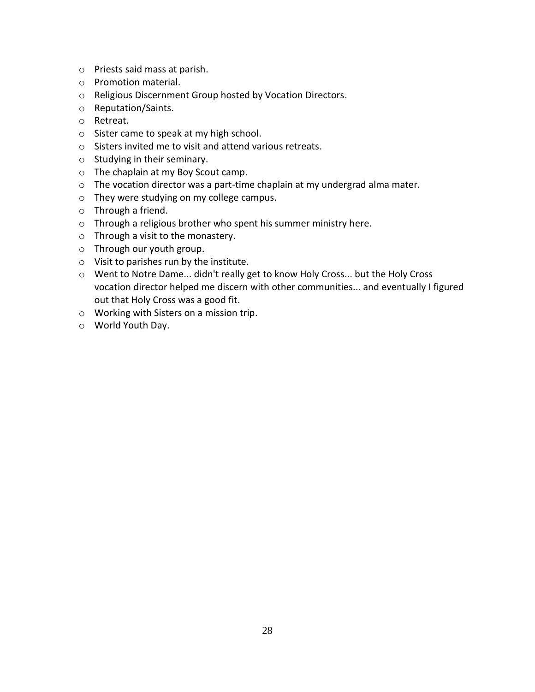- o Priests said mass at parish.
- o Promotion material.
- o Religious Discernment Group hosted by Vocation Directors.
- o Reputation/Saints.
- o Retreat.
- o Sister came to speak at my high school.
- o Sisters invited me to visit and attend various retreats.
- o Studying in their seminary.
- o The chaplain at my Boy Scout camp.
- o The vocation director was a part-time chaplain at my undergrad alma mater.
- o They were studying on my college campus.
- o Through a friend.
- o Through a religious brother who spent his summer ministry here.
- o Through a visit to the monastery.
- o Through our youth group.
- o Visit to parishes run by the institute.
- o Went to Notre Dame... didn't really get to know Holy Cross... but the Holy Cross vocation director helped me discern with other communities... and eventually I figured out that Holy Cross was a good fit.
- o Working with Sisters on a mission trip.
- o World Youth Day.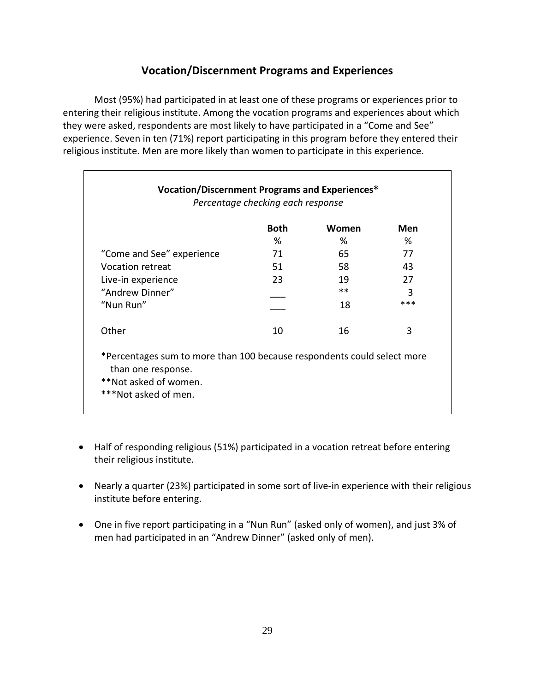### **Vocation/Discernment Programs and Experiences**

<span id="page-32-0"></span>Most (95%) had participated in at least one of these programs or experiences prior to entering their religious institute. Among the vocation programs and experiences about which they were asked, respondents are most likely to have participated in a "Come and See" experience. Seven in ten (71%) report participating in this program before they entered their religious institute. Men are more likely than women to participate in this experience.

|                                                                         | <b>Both</b> | Women | Men |
|-------------------------------------------------------------------------|-------------|-------|-----|
|                                                                         | %           | %     | %   |
| "Come and See" experience                                               | 71          | 65    | 77  |
| <b>Vocation retreat</b>                                                 | 51          | 58    | 43  |
| Live-in experience                                                      | 23          | 19    | 27  |
| "Andrew Dinner"                                                         |             | $***$ | 3   |
| "Nun Run"                                                               |             | 18    | *** |
| Other                                                                   | 10          | 16    | 3   |
| *Percentages sum to more than 100 because respondents could select more |             |       |     |

- Half of responding religious (51%) participated in a vocation retreat before entering their religious institute.
- Nearly a quarter (23%) participated in some sort of live-in experience with their religious institute before entering.
- One in five report participating in a "Nun Run" (asked only of women), and just 3% of men had participated in an "Andrew Dinner" (asked only of men).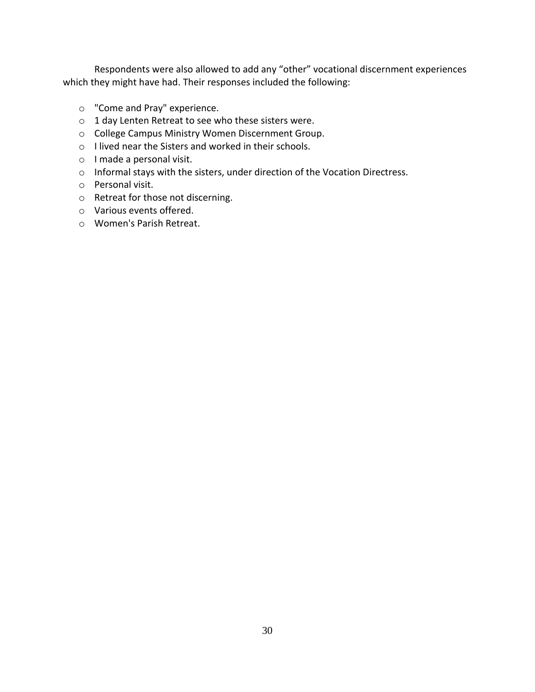Respondents were also allowed to add any "other" vocational discernment experiences which they might have had. Their responses included the following:

- o "Come and Pray" experience.
- o 1 day Lenten Retreat to see who these sisters were.
- o College Campus Ministry Women Discernment Group.
- o I lived near the Sisters and worked in their schools.
- o I made a personal visit.
- o Informal stays with the sisters, under direction of the Vocation Directress.
- o Personal visit.
- o Retreat for those not discerning.
- o Various events offered.
- o Women's Parish Retreat.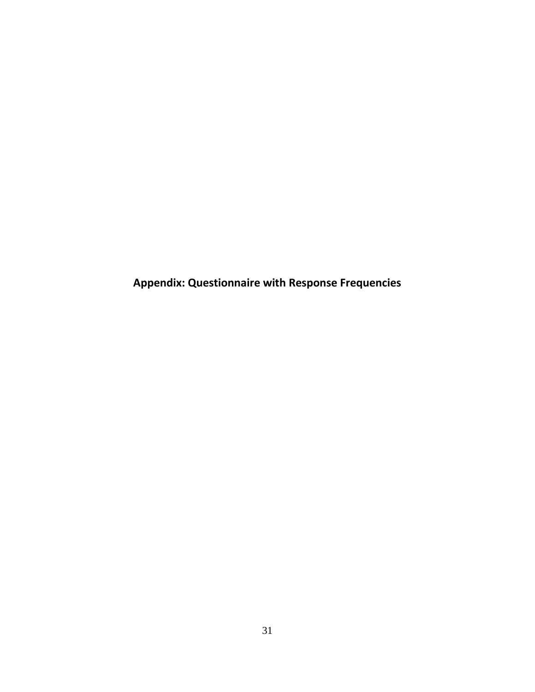<span id="page-34-0"></span>**Appendix: Questionnaire with Response Frequencies**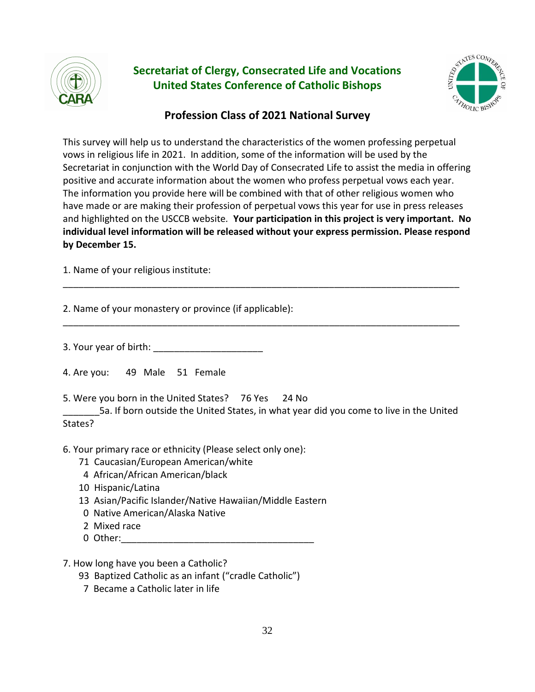

# **Secretariat of Clergy, Consecrated Life and Vocations United States Conference of Catholic Bishops**



### **Profession Class of 2021 National Survey**

This survey will help us to understand the characteristics of the women professing perpetual vows in religious life in 2021. In addition, some of the information will be used by the Secretariat in conjunction with the World Day of Consecrated Life to assist the media in offering positive and accurate information about the women who profess perpetual vows each year. The information you provide here will be combined with that of other religious women who have made or are making their profession of perpetual vows this year for use in press releases and highlighted on the USCCB website*.* **Your participation in this project is very important. No individual level information will be released without your express permission. Please respond by December 15.** 

\_\_\_\_\_\_\_\_\_\_\_\_\_\_\_\_\_\_\_\_\_\_\_\_\_\_\_\_\_\_\_\_\_\_\_\_\_\_\_\_\_\_\_\_\_\_\_\_\_\_\_\_\_\_\_\_\_\_\_\_\_\_\_\_\_\_\_\_\_\_\_\_\_\_\_\_

\_\_\_\_\_\_\_\_\_\_\_\_\_\_\_\_\_\_\_\_\_\_\_\_\_\_\_\_\_\_\_\_\_\_\_\_\_\_\_\_\_\_\_\_\_\_\_\_\_\_\_\_\_\_\_\_\_\_\_\_\_\_\_\_\_\_\_\_\_\_\_\_\_\_\_\_

1. Name of your religious institute:

2. Name of your monastery or province (if applicable):

3. Your year of birth:

4. Are you: 49 Male 51 Female

5. Were you born in the United States? 76 Yes 24 No

\_\_\_\_\_\_\_5a. If born outside the United States, in what year did you come to live in the United States?

6. Your primary race or ethnicity (Please select only one):

- 71 Caucasian/European American/white
- 4 African/African American/black
- 10 Hispanic/Latina
- 13 Asian/Pacific Islander/Native Hawaiian/Middle Eastern
- 0 Native American/Alaska Native
- 2 Mixed race
- 0 Other:

#### 7. How long have you been a Catholic?

- 93 Baptized Catholic as an infant ("cradle Catholic")
- 7 Became a Catholic later in life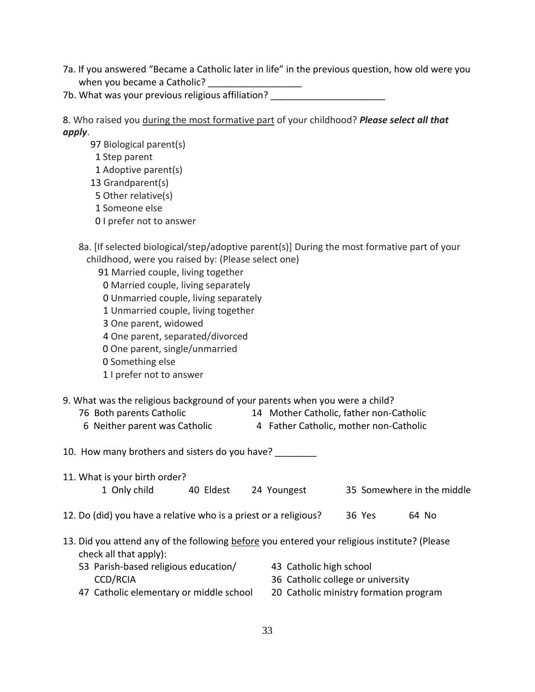- 7a. If you answered "Became a Catholic later in life" in the previous question, how old were you when you became a Catholic?
- 7b. What was your previous religious affiliation?

8. Who raised you during the most formative part of your childhood? *Please select all that apply*.

97 Biological parent(s) 1 Step parent 1 Adoptive parent(s) 13 Grandparent(s) 5 Other relative(s) 1 Someone else 0 I prefer not to answer 8a. [If selected biological/step/adoptive parent(s)] During the most formative part of your childhood, were you raised by: (Please select one) 91 Married couple, living together 0 Married couple, living separately 0 Unmarried couple, living separately 1 Unmarried couple, living together 3 One parent, widowed 4 One parent, separated/divorced 0 One parent, single/unmarried 0 Something else 1 I prefer not to answer 9. What was the religious background of your parents when you were a child? 76 Both parents Catholic 14 Mother Catholic, father non-Catholic 6 Neither parent was Catholic 4 Father Catholic, mother non-Catholic 10. How many brothers and sisters do you have? 11. What is your birth order? 1 Only child 40 Eldest 24 Youngest 35 Somewhere in the middle 12. Do (did) you have a relative who is a priest or a religious? 36 Yes 64 No 13. Did you attend any of the following before you entered your religious institute? (Please check all that apply): 53 Parish-based religious education/ CCD/RCIA 43 Catholic high school 36 Catholic college or university

20 Catholic ministry formation program

47 Catholic elementary or middle school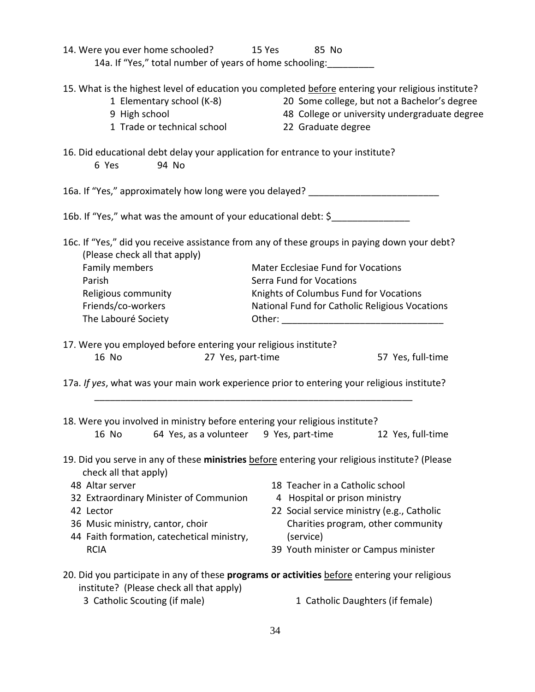| 14. Were you ever home schooled? 15 Yes 85 No<br>14a. If "Yes," total number of years of home schooling: __________                                                                              |                                                                                                                                                                                                                                                                                                             |
|--------------------------------------------------------------------------------------------------------------------------------------------------------------------------------------------------|-------------------------------------------------------------------------------------------------------------------------------------------------------------------------------------------------------------------------------------------------------------------------------------------------------------|
| 1 Elementary school (K-8)<br>9 High school<br>1 Trade or technical school                                                                                                                        | 15. What is the highest level of education you completed before entering your religious institute?<br>20 Some college, but not a Bachelor's degree<br>48 College or university undergraduate degree<br>22 Graduate degree                                                                                   |
| 16. Did educational debt delay your application for entrance to your institute?<br>94 No<br>6 Yes                                                                                                |                                                                                                                                                                                                                                                                                                             |
|                                                                                                                                                                                                  | 16a. If "Yes," approximately how long were you delayed? ________________________                                                                                                                                                                                                                            |
| 16b. If "Yes," what was the amount of your educational debt: \$__________________                                                                                                                |                                                                                                                                                                                                                                                                                                             |
| (Please check all that apply)<br>Family members<br>Parish<br>Religious community<br>Friends/co-workers<br>The Labouré Society                                                                    | 16c. If "Yes," did you receive assistance from any of these groups in paying down your debt?<br>Mater Ecclesiae Fund for Vocations<br>Serra Fund for Vocations<br>Knights of Columbus Fund for Vocations<br>National Fund for Catholic Religious Vocations                                                  |
| 17. Were you employed before entering your religious institute?<br>16 No<br>27 Yes, part-time                                                                                                    | 57 Yes, full-time<br>17a. If yes, what was your main work experience prior to entering your religious institute?                                                                                                                                                                                            |
| 18. Were you involved in ministry before entering your religious institute?                                                                                                                      | 16 No 64 Yes, as a volunteer 9 Yes, part-time 12 Yes, full-time                                                                                                                                                                                                                                             |
| check all that apply)<br>48 Altar server<br>32 Extraordinary Minister of Communion<br>42 Lector<br>36 Music ministry, cantor, choir<br>44 Faith formation, catechetical ministry,<br><b>RCIA</b> | 19. Did you serve in any of these ministries before entering your religious institute? (Please<br>18 Teacher in a Catholic school<br>4 Hospital or prison ministry<br>22 Social service ministry (e.g., Catholic<br>Charities program, other community<br>(service)<br>39 Youth minister or Campus minister |
| institute? (Please check all that apply)<br>3 Catholic Scouting (if male)                                                                                                                        | 20. Did you participate in any of these programs or activities before entering your religious<br>1 Catholic Daughters (if female)                                                                                                                                                                           |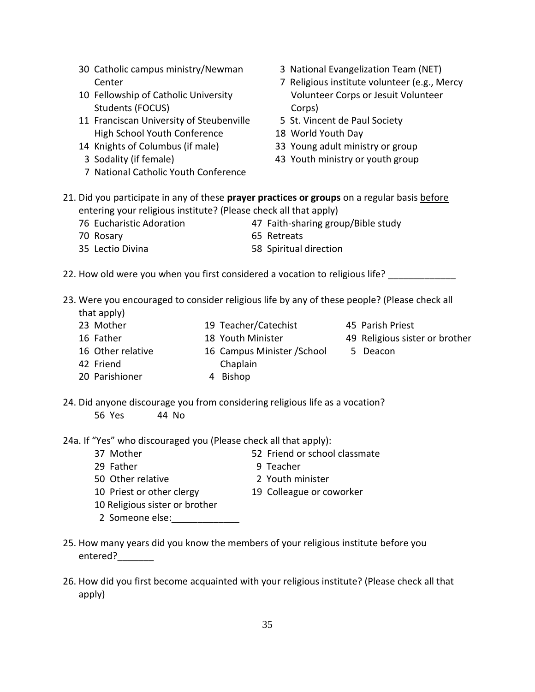- 30 Catholic campus ministry/Newman Center 10 Fellowship of Catholic University Students (FOCUS) 11 Franciscan University of Steubenville High School Youth Conference 14 Knights of Columbus (if male) 3 Sodality (if female) 7 National Catholic Youth Conference 3 National Evangelization Team (NET) 7 Religious institute volunteer (e.g., Mercy Volunteer Corps or Jesuit Volunteer Corps) 5 St. Vincent de Paul Society 18 World Youth Day 33 Young adult ministry or group 43 Youth ministry or youth group 21. Did you participate in any of these **prayer practices or groups** on a regular basis before entering your religious institute? (Please check all that apply) 76 Eucharistic Adoration 47 Faith-sharing group/Bible study 70 Rosary 65 Retreats 35 Lectio Divina 58 Spiritual direction 22. How old were you when you first considered a vocation to religious life? \_\_\_\_\_\_\_\_\_\_ 23. Were you encouraged to consider religious life by any of these people? (Please check all that apply) 23 Mother 16 Father 16 Other relative 42 Friend 20 Parishioner 19 Teacher/Catechist 18 Youth Minister 16 Campus Minister /School 5 Deacon Chaplain 4 Bishop 45 Parish Priest 49 Religious sister or brother 24. Did anyone discourage you from considering religious life as a vocation? 56 Yes 44 No 24a. If "Yes" who discouraged you (Please check all that apply): 37 Mother 52 Friend or school classmate 29 Father 9 Teacher 50 Other relative 2 Youth minister 10 Priest or other clergy 19 Colleague or coworker 10 Religious sister or brother 2 Someone else:\_\_\_\_\_\_\_\_\_\_\_\_\_
- 25. How many years did you know the members of your religious institute before you entered?\_\_\_\_\_\_\_
- 26. How did you first become acquainted with your religious institute? (Please check all that apply)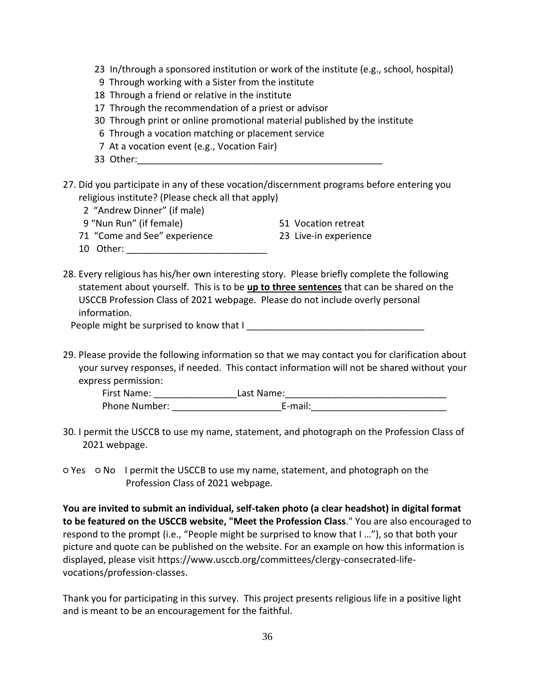- 23 In/through a sponsored institution or work of the institute (e.g., school, hospital)
- 9 Through working with a Sister from the institute
- 18 Through a friend or relative in the institute
- 17 Through the recommendation of a priest or advisor
- 30 Through print or online promotional material published by the institute
- 6 Through a vocation matching or placement service
- 7 At a vocation event (e.g., Vocation Fair)
- 33 Other:
- 27. Did you participate in any of these vocation/discernment programs before entering you religious institute? (Please check all that apply)
	- 2 "Andrew Dinner" (if male)
	- 9 "Nun Run" (if female) 51 Vocation retreat
	- 71 "Come and See" experience 23 Live-in experience
- -
	- 10 Other:
- 28. Every religious has his/her own interesting story. Please briefly complete the following statement about yourself. This is to be **up to three sentences** that can be shared on the USCCB Profession Class of 2021 webpage. Please do not include overly personal information.

People might be surprised to know that I

29. Please provide the following information so that we may contact you for clarification about your survey responses, if needed. This contact information will not be shared without your express permission:

| First Name:          | Last Name: |
|----------------------|------------|
| <b>Phone Number:</b> | E-mail:    |

- 30. I permit the USCCB to use my name, statement, and photograph on the Profession Class of 2021 webpage.
- Yes No I permit the USCCB to use my name, statement, and photograph on the Profession Class of 2021 webpage.

**You are invited to submit an individual, self-taken photo (a clear headshot) in digital format to be featured on the USCCB website, "Meet the Profession Class**." You are also encouraged to respond to the prompt (i.e., "People might be surprised to know that I …"), so that both your picture and quote can be published on the website. For an example on how this information is displayed, please visit https://www.usccb.org/committees/clergy-consecrated-lifevocations/profession-classes.

Thank you for participating in this survey. This project presents religious life in a positive light and is meant to be an encouragement for the faithful.